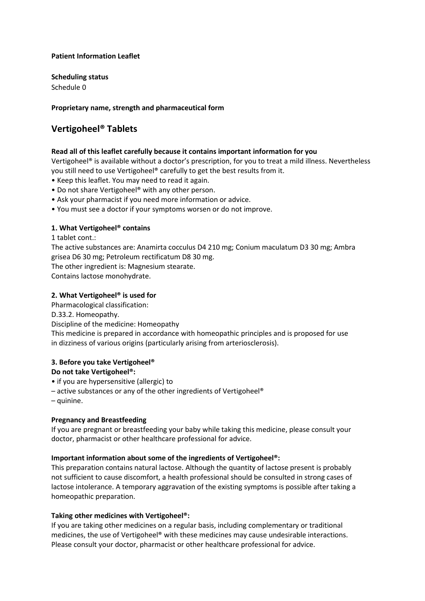## **Patient Information Leaflet**

**Scheduling status**

Schedule 0

# **Proprietary name, strength and pharmaceutical form**

# **Vertigoheel® Tablets**

# **Read all of this leaflet carefully because it contains important information for you**

Vertigoheel® is available without a doctor's prescription, for you to treat a mild illness. Nevertheless you still need to use Vertigoheel® carefully to get the best results from it.

- Keep this leaflet. You may need to read it again.
- Do not share Vertigoheel® with any other person.
- Ask your pharmacist if you need more information or advice.
- You must see a doctor if your symptoms worsen or do not improve.

# **1. What Vertigoheel® contains**

1 tablet cont.:

The active substances are: Anamirta cocculus D4 210 mg; Conium maculatum D3 30 mg; Ambra grisea D6 30 mg; Petroleum rectificatum D8 30 mg.

The other ingredient is: Magnesium stearate.

Contains lactose monohydrate.

## **2. What Vertigoheel® is used for**

Pharmacological classification:

D.33.2. Homeopathy.

Discipline of the medicine: Homeopathy

This medicine is prepared in accordance with homeopathic principles and is proposed for use in dizziness of various origins (particularly arising from arteriosclerosis).

# **3. Before you take Vertigoheel®**

#### **Do not take Vertigoheel®:**

- if you are hypersensitive (allergic) to
- active substances or any of the other ingredients of Vertigoheel®
- quinine.

# **Pregnancy and Breastfeeding**

If you are pregnant or breastfeeding your baby while taking this medicine, please consult your doctor, pharmacist or other healthcare professional for advice.

#### **Important information about some of the ingredients of Vertigoheel®:**

This preparation contains natural lactose. Although the quantity of lactose present is probably not sufficient to cause discomfort, a health professional should be consulted in strong cases of lactose intolerance. A temporary aggravation of the existing symptoms is possible after taking a homeopathic preparation.

# **Taking other medicines with Vertigoheel®:**

If you are taking other medicines on a regular basis, including complementary or traditional medicines, the use of Vertigoheel® with these medicines may cause undesirable interactions. Please consult your doctor, pharmacist or other healthcare professional for advice.